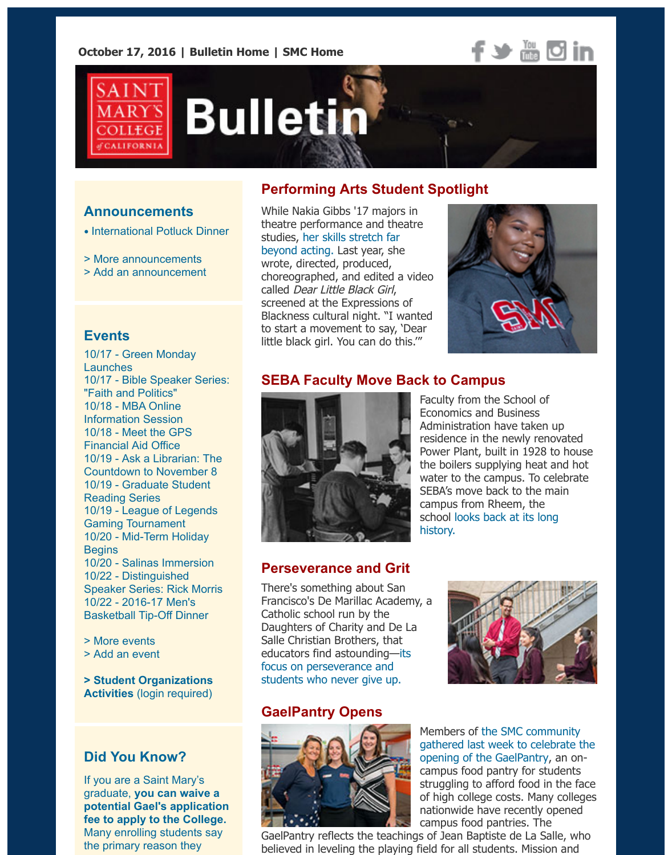**October 17, 2016 | [Bulletin Home](http://www.stmarys-ca.edu/smc-bulletin?utm_source=Bulletin&utm_medium=email&utm_content=headerlinks_test&utm_campaign=10-17-2016) | [SMC Home](http://www.stmarys-ca.edu/?utm_source=Bulletin&utm_medium=email&utm_content=headerlinks_test&utm_campaign=10-17-2016)**





# **Bulletin**

## **Announcements**

- [International Potluck Dinner](http://www.stmarys-ca.edu/nov-16-3-6-pm-international-potluck-dinner-the-dept-of-world-languages-and-cultures-and-the-center?utm_source=Bulletin&utm_medium=email&utm_content=announcement_test&utm_campaign=10-17-2016)
- [> More announcements](http://www.stmarys-ca.edu/smc-bulletin/announcements?utm_source=Bulletin&utm_medium=email&utm_content=announcement_test&utm_campaign=10-17-2016)
- [> Add an announcement](http://www.stmarys-ca.edu/node/add/announcement?utm_source=Bulletin&utm_medium=email&utm_content=announcement_test&utm_campaign=10-17-2016)

#### **Events**

[10/17 - Green Monday](http://www.stmarys-ca.edu/green-monday-launch?utm_source=Bulletin&utm_medium=email&utm_content=event_test&utm_campaign=10-17-2016) Launches 10/17 [- Bible Speaker Series:](http://www.stmarys-ca.edu/monday-oct-17-2016-%E2%80%93-bishop-stephen-blaire-on-faith-and-politics?utm_source=Bulletin&utm_medium=email&utm_content=event_test&utm_campaign=10-17-2016) "Faith and Politics" 10/18 - MBA Online [Information Session](http://www.stmarys-ca.edu/trans-global-executive-mba-online-information-session-w-dr-linda-herkenhoff?utm_source=Bulletin&utm_medium=email&utm_content=event_test&utm_campaign=10-17-2016) 10/18 - Meet the GPS [Financial Aid Office](http://www.stmarys-ca.edu/meet-the-financial-aid-office?utm_source=Bulletin&utm_medium=email&utm_content=event_test&utm_campaign=10-17-2016) [10/19 - Ask a Librarian: The](http://www.stmarys-ca.edu/ask-a-librarian-the-countdown-to-november-8?utm_source=Bulletin&utm_medium=email&utm_content=event_test&utm_campaign=10-17-2016) Countdown to November 8 [10/19 - Graduate Student](http://www.stmarys-ca.edu/graduate-student-readings?utm_source=Bulletin&utm_medium=email&utm_content=event_test&utm_campaign=10-17-2016) Reading Series [10/19 - League of Legends](http://www.stmarys-ca.edu/gael-gamings-first-league-of-legends-tournament?utm_source=Bulletin&utm_medium=email&utm_content=event_test&utm_campaign=10-17-2016) Gaming Tournament [10/20 - Mid-Term Holiday](http://www.stmarys-ca.edu/mid-term-holiday-no-classes?utm_source=Bulletin&utm_medium=email&utm_content=event_test&utm_campaign=10-17-2016) **Begins** 10/20 - [Salinas Immersion](http://www.stmarys-ca.edu/salinas-immersion-0?utm_source=Bulletin&utm_medium=email&utm_content=event_test&utm_campaign=10-17-2016) 10/22 - Distinguished [Speaker Series: Rick Morris](http://www.stmarys-ca.edu/distinguished-speaker-series-rick-morris-how-to-create-a-better-classroom-culture?utm_source=Bulletin&utm_medium=email&utm_content=event_test&utm_campaign=10-17-2016) 10/22 - 2016-17 Men's [Basketball Tip-Off Dinner](http://www.stmarys-ca.edu/2016-17-mens-basketball-tip-off-dinner?utm_source=Bulletin&utm_medium=email&utm_content=event_test&utm_campaign=10-17-2016)

- [> More events](http://www.stmarys-ca.edu/events?utm_source=Bulletin&utm_medium=email&utm_content=event_test&utm_campaign=10-17-2016)
- [> Add an event](http://www.stmarys-ca.edu/node/add/calendar-event?utm_source=Bulletin&utm_medium=email&utm_content=event_test&utm_campaign=10-17-2016)

**[> Student Organizations](https://stmarys-ca-community.symplicity.com/) Activities** (login required)

## **Did You Know?**

If you are a Saint Mary's graduate, **you can waive a [potential Gael's application](http://www.stmarys-ca.edu/node/175451?utm_source=Bulletin&utm_medium=email&utm_content=sidebar_test&utm_campaign=10-17-2016) fee to apply to the College.** Many enrolling students say the primary reason they

# **Performing Arts Student Spotlight**

While Nakia Gibbs '17 majors in theatre performance and theatre [studies, her skills stretch far](http://www.stmarys-ca.edu/student-spotlight-nakia-gibbs?utm_source=Bulletin&utm_medium=email&utm_content=feature_test&utm_campaign=10-17-2016) beyond acting. Last year, she wrote, directed, produced, choreographed, and edited a video called Dear Little Black Girl, screened at the Expressions of Blackness cultural night. "I wanted to start a movement to say, 'Dear little black girl. You can do this.'"



## **SEBA Faculty Move Back to Campus**



Faculty from the School of Economics and Business Administration have taken up residence in the newly renovated Power Plant, built in 1928 to house the boilers supplying heat and hot water to the campus. To celebrate SEBA's move back to the main campus from Rheem, the [school looks back at its long](http://www.stmarys-ca.edu/as-seba-faculty-celebrate-move-back-to-main-campus-a-history-of-seba-buildings?utm_source=Bulletin&utm_medium=email&utm_content=feature_test&utm_campaign=10-17-2016) history.

## **Perseverance and Grit**

There's something about San Francisco's De Marillac Academy, a Catholic school run by the Daughters of Charity and De La Salle Christian Brothers, that [educators find astounding—its](http://www.stmarys-ca.edu/perseverance-and-grit?utm_source=Bulletin&utm_medium=email&utm_content=feature_test&utm_campaign=10-17-2016) focus on perseverance and students who never give up.

## **GaelPantry Opens**





Members of the SMC community [gathered last week to celebrate the](http://www.stmarys-ca.edu/gaelpantry-opens?utm_source=Bulletin&utm_medium=email&utm_content=feature_test&utm_campaign=10-17-2016) opening of the GaelPantry, an oncampus food pantry for students struggling to afford food in the face of high college costs. Many colleges nationwide have recently opened campus food pantries. The

GaelPantry reflects the teachings of Jean Baptiste de La Salle, who believed in leveling the playing field for all students. Mission and